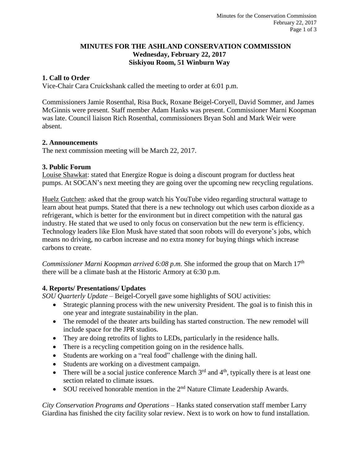### **MINUTES FOR THE ASHLAND CONSERVATION COMMISSION Wednesday, February 22, 2017 Siskiyou Room, 51 Winburn Way**

### **1. Call to Order**

Vice-Chair Cara Cruickshank called the meeting to order at 6:01 p.m.

Commissioners Jamie Rosenthal, Risa Buck, Roxane Beigel-Coryell, David Sommer, and James McGinnis were present. Staff member Adam Hanks was present. Commissioner Marni Koopman was late. Council liaison Rich Rosenthal, commissioners Bryan Sohl and Mark Weir were absent.

#### **2. Announcements**

The next commission meeting will be March 22, 2017.

#### **3. Public Forum**

Louise Shawkat: stated that Energize Rogue is doing a discount program for ductless heat pumps. At SOCAN's next meeting they are going over the upcoming new recycling regulations.

Huelz Gutchen: asked that the group watch his YouTube video regarding structural wattage to learn about heat pumps. Stated that there is a new technology out which uses carbon dioxide as a refrigerant, which is better for the environment but in direct competition with the natural gas industry. He stated that we used to only focus on conservation but the new term is efficiency. Technology leaders like Elon Musk have stated that soon robots will do everyone's jobs, which means no driving, no carbon increase and no extra money for buying things which increase carbons to create.

*Commissioner Marni Koopman arrived 6:08 p.m.* She informed the group that on March 17<sup>th</sup> there will be a climate bash at the Historic Armory at 6:30 p.m.

#### **4. Reports/ Presentations/ Updates**

*SOU Quarterly Update* – Beigel-Coryell gave some highlights of SOU activities:

- Strategic planning process with the new university President. The goal is to finish this in one year and integrate sustainability in the plan.
- The remodel of the theater arts building has started construction. The new remodel will include space for the JPR studios.
- They are doing retrofits of lights to LEDs, particularly in the residence halls.
- There is a recycling competition going on in the residence halls.
- Students are working on a "real food" challenge with the dining hall.
- Students are working on a divestment campaign.
- There will be a social justice conference March  $3<sup>rd</sup>$  and  $4<sup>th</sup>$ , typically there is at least one section related to climate issues.
- SOU received honorable mention in the 2<sup>nd</sup> Nature Climate Leadership Awards.

*City Conservation Programs and Operations* – Hanks stated conservation staff member Larry Giardina has finished the city facility solar review. Next is to work on how to fund installation.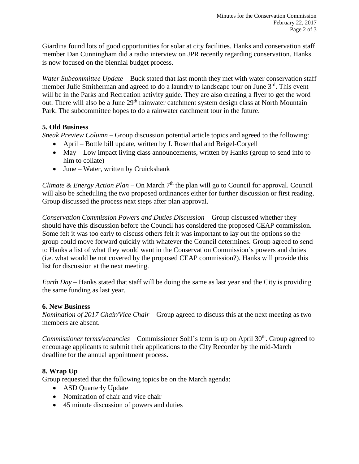Giardina found lots of good opportunities for solar at city facilities. Hanks and conservation staff member Dan Cunningham did a radio interview on JPR recently regarding conservation. Hanks is now focused on the biennial budget process.

*Water Subcommittee Update* – Buck stated that last month they met with water conservation staff member Julie Smitherman and agreed to do a laundry to landscape tour on June 3<sup>rd</sup>. This event will be in the Parks and Recreation activity guide. They are also creating a flyer to get the word out. There will also be a June 29<sup>th</sup> rainwater catchment system design class at North Mountain Park. The subcommittee hopes to do a rainwater catchment tour in the future.

## **5. Old Business**

*Sneak Preview Column* – Group discussion potential article topics and agreed to the following:

- April Bottle bill update, written by J. Rosenthal and Beigel-Coryell
- May Low impact living class announcements, written by Hanks (group to send info to him to collate)
- June Water, written by Cruickshank

*Climate & Energy Action Plan* – On March  $7<sup>th</sup>$  the plan will go to Council for approval. Council will also be scheduling the two proposed ordinances either for further discussion or first reading. Group discussed the process next steps after plan approval.

*Conservation Commission Powers and Duties Discussion* – Group discussed whether they should have this discussion before the Council has considered the proposed CEAP commission. Some felt it was too early to discuss others felt it was important to lay out the options so the group could move forward quickly with whatever the Council determines. Group agreed to send to Hanks a list of what they would want in the Conservation Commission's powers and duties (i.e. what would be not covered by the proposed CEAP commission?). Hanks will provide this list for discussion at the next meeting.

*Earth Day* – Hanks stated that staff will be doing the same as last year and the City is providing the same funding as last year.

# **6. New Business**

*Nomination of 2017 Chair/Vice Chair* – Group agreed to discuss this at the next meeting as two members are absent.

*Commissioner terms/vacancies* – Commissioner Sohl's term is up on April 30<sup>th</sup>. Group agreed to encourage applicants to submit their applications to the City Recorder by the mid-March deadline for the annual appointment process.

# **8. Wrap Up**

Group requested that the following topics be on the March agenda:

- ASD Quarterly Update
- Nomination of chair and vice chair
- 45 minute discussion of powers and duties